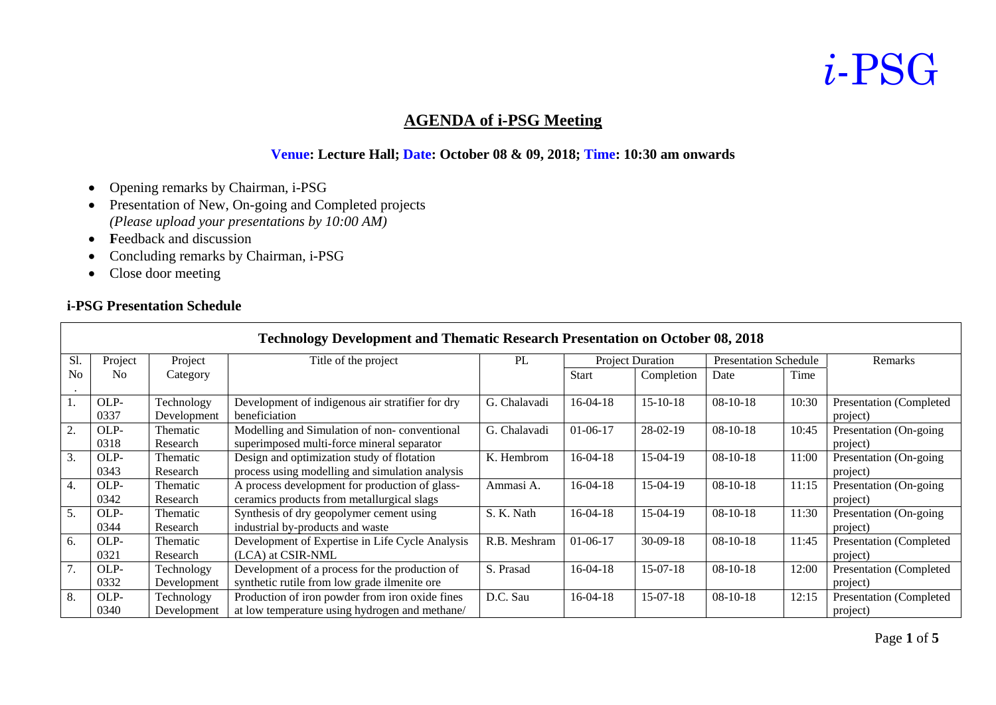#### **AGENDA of i-PSG Meeting**

#### **Venue: Lecture Hall; Date: October 08 & 09, 2018; Time: 10:30 am onwards**

- •Opening remarks by Chairman, i-PSG
- Presentation of New, On-going and Completed projects *(Please upload your presentations by 10:00 AM)*
- **Feedback and discussion**
- •Concluding remarks by Chairman, i-PSG
- Close door meeting

#### **i-PSG Presentation Schedule**

Г

| <b>Technology Development and Thematic Research Presentation on October 08, 2018</b> |                |                 |                                                  |              |                         |                |                              |       |                                |
|--------------------------------------------------------------------------------------|----------------|-----------------|--------------------------------------------------|--------------|-------------------------|----------------|------------------------------|-------|--------------------------------|
| Sl.                                                                                  | Project        | Project         | Title of the project                             | PL           | <b>Project Duration</b> |                | <b>Presentation Schedule</b> |       | Remarks                        |
| N <sub>0</sub>                                                                       | N <sub>0</sub> | Category        |                                                  |              | <b>Start</b>            | Completion     | Date                         | Time  |                                |
|                                                                                      |                |                 |                                                  |              |                         |                |                              |       |                                |
|                                                                                      | OLP-           | Technology      | Development of indigenous air stratifier for dry | G. Chalavadi | $16-04-18$              | $15 - 10 - 18$ | $08-10-18$                   | 10:30 | Presentation (Completed        |
|                                                                                      | 0337           | Development     | beneficiation                                    |              |                         |                |                              |       | project)                       |
| 2.                                                                                   | OLP-           | <b>Thematic</b> | Modelling and Simulation of non-conventional     | G. Chalavadi | $01-06-17$              | $28-02-19$     | $08-10-18$                   | 10:45 | Presentation (On-going)        |
|                                                                                      | 0318           | Research        | superimposed multi-force mineral separator       |              |                         |                |                              |       | project)                       |
| 3.                                                                                   | OLP-           | Thematic        | Design and optimization study of flotation       | K. Hembrom   | $16-04-18$              | 15-04-19       | $08-10-18$                   | 11:00 | Presentation (On-going)        |
|                                                                                      | 0343           | Research        | process using modelling and simulation analysis  |              |                         |                |                              |       | project)                       |
| 4.                                                                                   | OLP-           | Thematic        | A process development for production of glass-   | Ammasi A.    | $16-04-18$              | 15-04-19       | $08-10-18$                   | 11:15 | Presentation (On-going)        |
|                                                                                      | 0342           | Research        | ceramics products from metallurgical slags       |              |                         |                |                              |       | project)                       |
| 5.                                                                                   | OLP-           | Thematic        | Synthesis of dry geopolymer cement using         | S. K. Nath   | $16-04-18$              | $15-04-19$     | $08-10-18$                   | 11:30 | Presentation (On-going         |
|                                                                                      | 0344           | Research        | industrial by-products and waste                 |              |                         |                |                              |       | project)                       |
| 6.                                                                                   | OLP-           | Thematic        | Development of Expertise in Life Cycle Analysis  | R.B. Meshram | $01-06-17$              | $30-09-18$     | $08-10-18$                   | 11:45 | <b>Presentation</b> (Completed |
|                                                                                      | 0321           | Research        | (LCA) at CSIR-NML                                |              |                         |                |                              |       | project)                       |
|                                                                                      | OLP-           | Technology      | Development of a process for the production of   | S. Prasad    | $16-04-18$              | $15-07-18$     | $08-10-18$                   | 12:00 | Presentation (Completed        |
|                                                                                      | 0332           | Development     | synthetic rutile from low grade ilmenite ore     |              |                         |                |                              |       | project)                       |
| 8.                                                                                   | OLP-           | Technology      | Production of iron powder from iron oxide fines  | D.C. Sau     | $16-04-18$              | $15-07-18$     | $08-10-18$                   | 12:15 | Presentation (Completed        |
|                                                                                      | 0340           | Development     | at low temperature using hydrogen and methane/   |              |                         |                |                              |       | project)                       |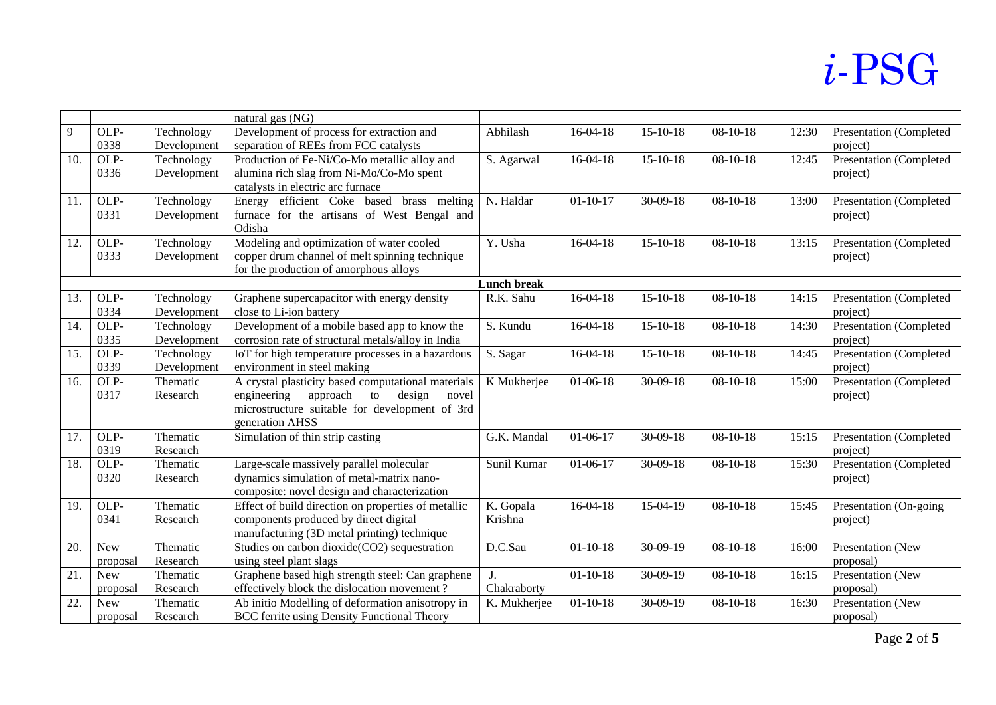|     |            |             | natural gas (NG)                                    |                    |                |                |                |       |                         |
|-----|------------|-------------|-----------------------------------------------------|--------------------|----------------|----------------|----------------|-------|-------------------------|
| 9   | OLP-       | Technology  | Development of process for extraction and           | Abhilash           | $16-04-18$     | $15-10-18$     | $08-10-18$     | 12:30 | Presentation (Completed |
|     | 0338       | Development | separation of REEs from FCC catalysts               |                    |                |                |                |       | project)                |
| 10. | OLP-       | Technology  | Production of Fe-Ni/Co-Mo metallic alloy and        | S. Agarwal         | $16-04-18$     | $15-10-18$     | $08 - 10 - 18$ | 12:45 | Presentation (Completed |
|     | 0336       | Development | alumina rich slag from Ni-Mo/Co-Mo spent            |                    |                |                |                |       | project)                |
|     |            |             | catalysts in electric arc furnace                   |                    |                |                |                |       |                         |
| 11. | OLP-       | Technology  | Energy efficient Coke based brass melting           | N. Haldar          | $01 - 10 - 17$ | $30-09-18$     | $08-10-18$     | 13:00 | Presentation (Completed |
|     | 0331       | Development | furnace for the artisans of West Bengal and         |                    |                |                |                |       | project)                |
|     |            |             | Odisha                                              |                    |                |                |                |       |                         |
| 12. | OLP-       | Technology  | Modeling and optimization of water cooled           | Y. Usha            | $16-04-18$     | $15 - 10 - 18$ | $08-10-18$     | 13:15 | Presentation (Completed |
|     | 0333       | Development | copper drum channel of melt spinning technique      |                    |                |                |                |       | project)                |
|     |            |             | for the production of amorphous alloys              |                    |                |                |                |       |                         |
|     |            |             |                                                     | <b>Lunch break</b> |                |                |                |       |                         |
| 13. | OLP-       | Technology  | Graphene supercapacitor with energy density         | R.K. Sahu          | $16-04-18$     | $15-10-18$     | $08-10-18$     | 14:15 | Presentation (Completed |
|     | 0334       | Development | close to Li-ion battery                             |                    |                |                |                |       | project)                |
| 14. | OLP-       | Technology  | Development of a mobile based app to know the       | S. Kundu           | $16-04-18$     | $15-10-18$     | $08-10-18$     | 14:30 | Presentation (Completed |
|     | 0335       | Development | corrosion rate of structural metals/alloy in India  |                    |                |                |                |       | project)                |
| 15. | OLP-       | Technology  | IoT for high temperature processes in a hazardous   | S. Sagar           | $16-04-18$     | $15-10-18$     | $08-10-18$     | 14:45 | Presentation (Completed |
|     | 0339       | Development | environment in steel making                         |                    |                |                |                |       | project)                |
| 16. | OLP-       | Thematic    | A crystal plasticity based computational materials  | K Mukherjee        | $01-06-18$     | $30-09-18$     | $08-10-18$     | 15:00 | Presentation (Completed |
|     | 0317       | Research    | engineering<br>approach<br>design<br>novel<br>to    |                    |                |                |                |       | project)                |
|     |            |             | microstructure suitable for development of 3rd      |                    |                |                |                |       |                         |
|     |            |             | generation AHSS                                     |                    |                |                |                |       |                         |
| 17. | OLP-       | Thematic    | Simulation of thin strip casting                    | G.K. Mandal        | $01-06-17$     | $30-09-18$     | $08-10-18$     | 15:15 | Presentation (Completed |
|     | 0319       | Research    |                                                     |                    |                |                |                |       | project)                |
| 18. | OLP-       | Thematic    | Large-scale massively parallel molecular            | Sunil Kumar        | $01-06-17$     | $30-09-18$     | $08-10-18$     | 15:30 | Presentation (Completed |
|     | 0320       | Research    | dynamics simulation of metal-matrix nano-           |                    |                |                |                |       | project)                |
|     |            |             | composite: novel design and characterization        |                    |                |                |                |       |                         |
| 19. | OLP-       | Thematic    | Effect of build direction on properties of metallic | K. Gopala          | $16-04-18$     | 15-04-19       | $08-10-18$     | 15:45 | Presentation (On-going  |
|     | 0341       | Research    | components produced by direct digital               | Krishna            |                |                |                |       | project)                |
|     |            |             | manufacturing (3D metal printing) technique         |                    |                |                |                |       |                         |
| 20. | <b>New</b> | Thematic    | Studies on carbon dioxide(CO2) sequestration        | D.C.Sau            | $01 - 10 - 18$ | $30-09-19$     | $08-10-18$     | 16:00 | Presentation (New       |
|     | proposal   | Research    | using steel plant slags                             |                    |                |                |                |       | proposal)               |
| 21. | New        | Thematic    | Graphene based high strength steel: Can graphene    | $\mathbf{J}$ .     | $01 - 10 - 18$ | $30-09-19$     | $08-10-18$     | 16:15 | Presentation (New       |
|     | proposal   | Research    | effectively block the dislocation movement?         | Chakraborty        |                |                |                |       | proposal)               |
| 22. | New        | Thematic    | Ab initio Modelling of deformation anisotropy in    | K. Mukherjee       | $01 - 10 - 18$ | 30-09-19       | $08-10-18$     | 16:30 | Presentation (New       |
|     | proposal   | Research    | <b>BCC</b> ferrite using Density Functional Theory  |                    |                |                |                |       | proposal)               |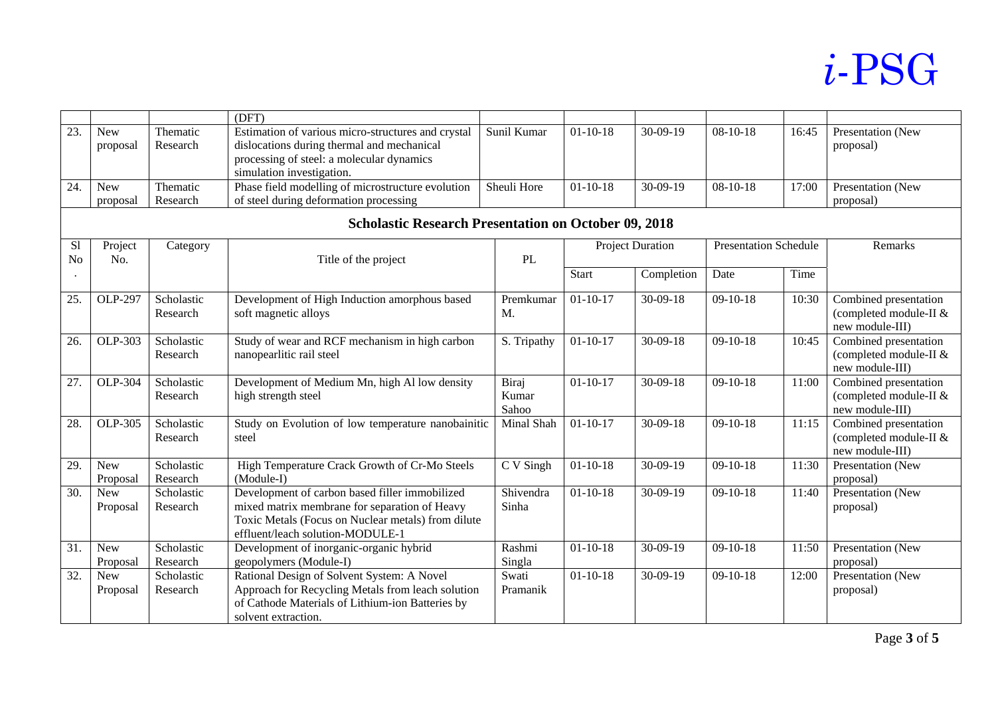|                   |                                                             |                        | (DFT)                                                                                                                                                                                     |                           |                         |                |                              |       |                                                                    |  |
|-------------------|-------------------------------------------------------------|------------------------|-------------------------------------------------------------------------------------------------------------------------------------------------------------------------------------------|---------------------------|-------------------------|----------------|------------------------------|-------|--------------------------------------------------------------------|--|
| $\overline{23}$   | <b>New</b><br>proposal                                      | Thematic<br>Research   | Estimation of various micro-structures and crystal<br>dislocations during thermal and mechanical<br>processing of steel: a molecular dynamics                                             | Sunil Kumar               | $01 - 10 - 18$          | 30-09-19       | $08 - 10 - 18$               | 16:45 | Presentation (New<br>proposal)                                     |  |
|                   |                                                             |                        | simulation investigation.                                                                                                                                                                 |                           |                         |                |                              |       |                                                                    |  |
| 24.               | <b>New</b>                                                  | Thematic               | Phase field modelling of microstructure evolution                                                                                                                                         | Sheuli Hore               | $01 - 10 - 18$          | 30-09-19       | $08 - 10 - 18$               | 17:00 | Presentation (New                                                  |  |
|                   | proposal                                                    | Research               | of steel during deformation processing                                                                                                                                                    |                           |                         |                |                              |       | proposal)                                                          |  |
|                   | <b>Scholastic Research Presentation on October 09, 2018</b> |                        |                                                                                                                                                                                           |                           |                         |                |                              |       |                                                                    |  |
| S1                | Project<br>Category                                         |                        |                                                                                                                                                                                           |                           | <b>Project Duration</b> |                | <b>Presentation Schedule</b> |       | Remarks                                                            |  |
| No                | No.                                                         |                        | Title of the project                                                                                                                                                                      | PL                        |                         |                |                              |       |                                                                    |  |
|                   |                                                             |                        |                                                                                                                                                                                           |                           | <b>Start</b>            | Completion     | Date                         | Time  |                                                                    |  |
| 25.               | <b>OLP-297</b>                                              | Scholastic<br>Research | Development of High Induction amorphous based<br>soft magnetic alloys                                                                                                                     | Premkumar<br>M.           | $01-10-17$              | $30 - 09 - 18$ | $09-10-18$                   | 10:30 | Combined presentation<br>(completed module-II &<br>new module-III) |  |
| 26.               | OLP-303                                                     | Scholastic<br>Research | Study of wear and RCF mechanism in high carbon<br>nanopearlitic rail steel                                                                                                                | $\overline{S}$ . Tripathy | $01-10-17$              | $30-09-18$     | $09-10-18$                   | 10:45 | Combined presentation<br>(completed module-II &<br>new module-III) |  |
| 27.               | OLP-304                                                     | Scholastic<br>Research | Development of Medium Mn, high Al low density<br>high strength steel                                                                                                                      | Biraj<br>Kumar<br>Sahoo   | $01 - 10 - 17$          | $30-09-18$     | $09-10-18$                   | 11:00 | Combined presentation<br>(completed module-II &<br>new module-III) |  |
| 28.               | OLP-305                                                     | Scholastic<br>Research | Study on Evolution of low temperature nanobainitic<br>steel                                                                                                                               | Minal Shah                | $01 - 10 - 17$          | $30 - 09 - 18$ | $09-10-18$                   | 11:15 | Combined presentation<br>(completed module-II &<br>new module-III) |  |
| 29.               | <b>New</b><br>Proposal                                      | Scholastic<br>Research | High Temperature Crack Growth of Cr-Mo Steels<br>(Module-I)                                                                                                                               | C V Singh                 | $01 - 10 - 18$          | $30-09-19$     | $09-10-18$                   | 11:30 | Presentation (New<br>proposal)                                     |  |
| 30.               | <b>New</b><br>Proposal                                      | Scholastic<br>Research | Development of carbon based filler immobilized<br>mixed matrix membrane for separation of Heavy<br>Toxic Metals (Focus on Nuclear metals) from dilute<br>effluent/leach solution-MODULE-1 | Shivendra<br>Sinha        | $01 - 10 - 18$          | $30-09-19$     | $09-10-18$                   | 11:40 | Presentation (New<br>proposal)                                     |  |
| $\overline{31}$ . | <b>New</b><br>Proposal                                      | Scholastic<br>Research | Development of inorganic-organic hybrid<br>geopolymers (Module-I)                                                                                                                         | Rashmi<br>Singla          | $01-10-18$              | $30-09-19$     | $09-10-18$                   | 11:50 | Presentation (New<br>proposal)                                     |  |
| 32.               | <b>New</b><br>Proposal                                      | Scholastic<br>Research | Rational Design of Solvent System: A Novel<br>Approach for Recycling Metals from leach solution<br>of Cathode Materials of Lithium-ion Batteries by<br>solvent extraction.                | Swati<br>Pramanik         | $01 - 10 - 18$          | $30-09-19$     | $09-10-18$                   | 12:00 | Presentation (New<br>proposal)                                     |  |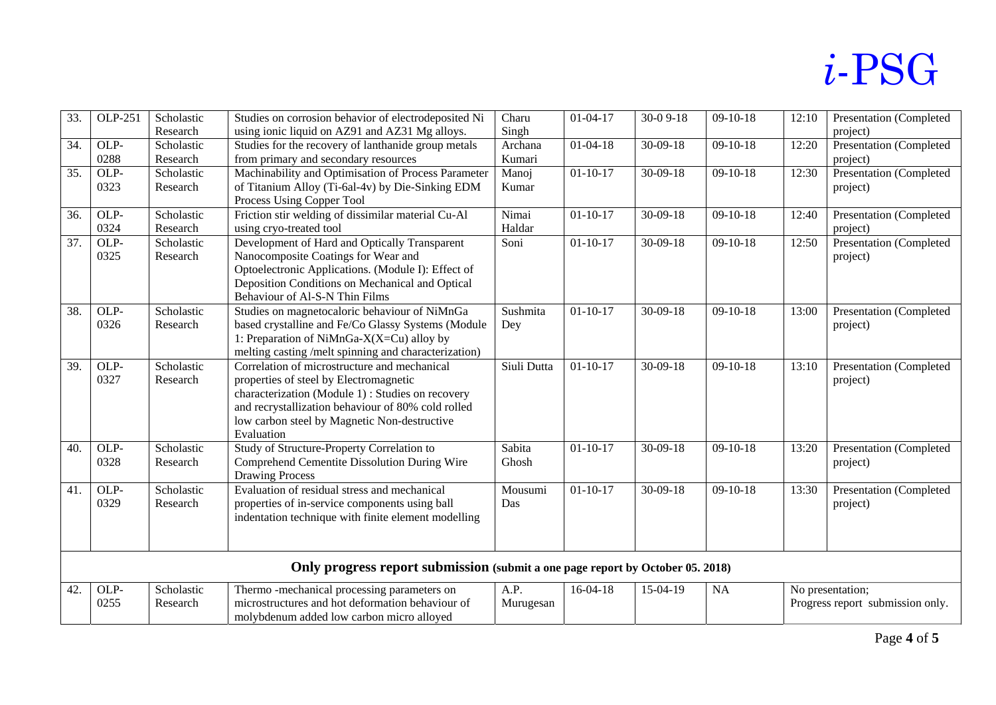| 33. | OLP-251 | Scholastic | Studies on corrosion behavior of electrodeposited Ni                           | Charu       | $01-04-17$     | $30-09-18$     | $09-10-18$ | 12:10 | Presentation (Completed          |
|-----|---------|------------|--------------------------------------------------------------------------------|-------------|----------------|----------------|------------|-------|----------------------------------|
|     |         | Research   | using ionic liquid on AZ91 and AZ31 Mg alloys.                                 | Singh       |                |                |            |       | project)                         |
| 34. | OLP-    | Scholastic | Studies for the recovery of lanthanide group metals                            | Archana     | $01 - 04 - 18$ | $30-09-18$     | $09-10-18$ | 12:20 | Presentation (Completed          |
|     | 0288    | Research   | from primary and secondary resources                                           | Kumari      |                |                |            |       | project)                         |
| 35. | OLP-    | Scholastic | Machinability and Optimisation of Process Parameter                            | Manoj       | $01 - 10 - 17$ | $30-09-18$     | $09-10-18$ | 12:30 | Presentation (Completed          |
|     | 0323    | Research   | of Titanium Alloy (Ti-6al-4v) by Die-Sinking EDM                               | Kumar       |                |                |            |       | project)                         |
|     |         |            | Process Using Copper Tool                                                      |             |                |                |            |       |                                  |
| 36. | OLP-    | Scholastic | Friction stir welding of dissimilar material Cu-Al                             | Nimai       | $01 - 10 - 17$ | $30-09-18$     | $09-10-18$ | 12:40 | Presentation (Completed          |
|     | 0324    | Research   | using cryo-treated tool                                                        | Haldar      |                |                |            |       | project)                         |
| 37. | OLP-    | Scholastic | Development of Hard and Optically Transparent                                  | Soni        | $01 - 10 - 17$ | $30-09-18$     | $09-10-18$ | 12:50 | <b>Presentation (Completed</b>   |
|     | 0325    | Research   | Nanocomposite Coatings for Wear and                                            |             |                |                |            |       | project)                         |
|     |         |            | Optoelectronic Applications. (Module I): Effect of                             |             |                |                |            |       |                                  |
|     |         |            | Deposition Conditions on Mechanical and Optical                                |             |                |                |            |       |                                  |
|     |         |            | Behaviour of Al-S-N Thin Films                                                 |             |                |                |            |       |                                  |
| 38. | OLP-    | Scholastic | Studies on magnetocaloric behaviour of NiMnGa                                  | Sushmita    | $01 - 10 - 17$ | $30-09-18$     | $09-10-18$ | 13:00 | Presentation (Completed          |
|     | 0326    | Research   | based crystalline and Fe/Co Glassy Systems (Module                             | Dey         |                |                |            |       | project)                         |
|     |         |            | 1: Preparation of NiMnGa- $X(X=Cu)$ alloy by                                   |             |                |                |            |       |                                  |
|     |         |            | melting casting /melt spinning and characterization)                           |             |                |                |            |       |                                  |
| 39. | OLP-    | Scholastic | Correlation of microstructure and mechanical                                   | Siuli Dutta | $01 - 10 - 17$ | $30 - 09 - 18$ | $09-10-18$ | 13:10 | Presentation (Completed          |
|     | 0327    | Research   | properties of steel by Electromagnetic                                         |             |                |                |            |       | project)                         |
|     |         |            | characterization (Module 1): Studies on recovery                               |             |                |                |            |       |                                  |
|     |         |            | and recrystallization behaviour of 80% cold rolled                             |             |                |                |            |       |                                  |
|     |         |            | low carbon steel by Magnetic Non-destructive                                   |             |                |                |            |       |                                  |
|     |         |            | Evaluation                                                                     |             |                |                |            |       |                                  |
| 40. | OLP-    | Scholastic | Study of Structure-Property Correlation to                                     | Sabita      | $01 - 10 - 17$ | $30 - 09 - 18$ | $09-10-18$ | 13:20 | Presentation (Completed          |
|     | 0328    | Research   | Comprehend Cementite Dissolution During Wire                                   | Ghosh       |                |                |            |       | project)                         |
|     |         |            | <b>Drawing Process</b>                                                         |             |                |                |            |       |                                  |
| 41. | OLP-    | Scholastic | Evaluation of residual stress and mechanical                                   | Mousumi     | $01 - 10 - 17$ | $30-09-18$     | $09-10-18$ | 13:30 | Presentation (Completed          |
|     | 0329    | Research   | properties of in-service components using ball                                 | Das         |                |                |            |       | project)                         |
|     |         |            | indentation technique with finite element modelling                            |             |                |                |            |       |                                  |
|     |         |            |                                                                                |             |                |                |            |       |                                  |
|     |         |            |                                                                                |             |                |                |            |       |                                  |
|     |         |            | Only progress report submission (submit a one page report by October 05. 2018) |             |                |                |            |       |                                  |
| 42. | OLP-    | Scholastic | Thermo -mechanical processing parameters on                                    | A.P.        | $16-04-18$     | 15-04-19       | <b>NA</b>  |       | No presentation;                 |
|     | 0255    | Research   | microstructures and hot deformation behaviour of                               | Murugesan   |                |                |            |       | Progress report submission only. |
|     |         |            | molybdenum added low carbon micro alloyed                                      |             |                |                |            |       |                                  |